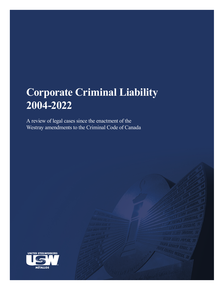# **Corporate Criminal Liability 2004-2022**

A review of legal cases since the enactment of the Westray amendments to the Criminal Code of Canada

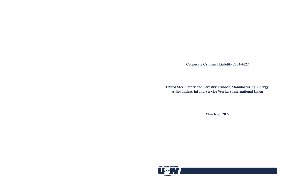**Corporate Criminal Liability 2004-2022**

**United Steel, Paper and Forestry, Rubber, Manufacturing, Energy, Allied Industrial and Service Workers International Union**



**March 30, 2022**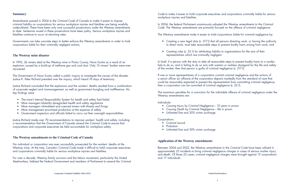**Corporate Criminal Liability 2004-2022 United Steelworkers**

#### **Summary**

Amendments passed in 2004 to the *Criminal Code* of Canada to make it easier to impose criminal liability on corporations for serious workplace injuries and fatalities are being woefully underutilized. There have been only nine successful prosecutions under the Westray amendments to date. Sentences issued in these prosecutions have been paltry. Serious workplace injuries and fatalities continue to occur at alarming rates.

Governments can take concrete steps to better enforce the Westray amendments in order to hold corporations liable for their criminally negligent actions.

- The mine's Internal Responsibility System for health and safety had failed
- Mine managers blatantly disregarded health and safety regulations
- Mine managers intimidated and coerced miners with threats and firings
- Mine management prioritized production at the expense of safety
- Government inspectors and officials failed to carry out their oversight responsibilities

#### **The Westray mine disaster**

In 1992, 26 miners died at the Westray mine in Pictou County, Nova Scotia as a result of an explosion caused by a build-up of methane gas and coal dust. Only 15 miners' bodies were ever recovered.

The Government of Nova Scotia called a public inquiry to investigate the causes of the disaster. Justice K. Peter Richard presided over the inquiry, which heard 76 days of testimony.

Justice Richard concluded that the explosions and the workers' deaths resulted from a combination of corporate neglect and mismanagement, as well as government bungling and indifference. His key findings were:

If one or more representatives of a corporation commit criminal negligence and the actions of a senior officer (or officers) of the corporation departs markedly from the standard of care that could be reasonably expected to prevent the representative from committing criminal negligence, then a corporation can be convicted of criminal negligence (s. 22.1).

Justice Richard made over 70 recommendations to improve workers' health and safety, including a recommendation that the Government of Canada amend the *Criminal Code* to ensure that corporations and corporate executives be held accountable for workplace safety.

#### **The Westray amendments to the Criminal Code of Canada**

No individual or corporation was ever successfully prosecuted for the workers' deaths at the Westray mine. At the time, Canada's *Criminal Code* made it difficult to hold corporate executives and corporations criminally liable for serious workplace injuries and fatalities.

For over a decade, Westray family survivors and the labour movement, particularly the United Steelworkers, lobbied the Federal Government and members of Parliament to amend the *Criminal*  *Code* to make it easier to hold corporate executives and corporations criminally liable for serious workplace injuries and fatalities.

In 2004, the federal Parliament unanimously adopted the Westray amendments to the *Criminal Code*. The Westray amendments are primarily focused on the offence of criminal negligence.

The Westray amendments make it easier to hold corporations liable for criminal negligence by:

• Creating a new legal duty (s. 217.1) that all persons directing work, or having the authority to direct work, must take reasonable steps to prevent bodily harm arising from work, and

• Creating rules (s. 22.1) for attributing liability to organizations for the acts of their

- 
- representatives which are criminally negligent.

In brief, if a person with the duty to take all reasonable steps to prevent bodily harm to a worker fails to do so, and in failing to do so acts with wanton or reckless disregard for the life and safety of the worker, then that person is guilty of criminal negligence (s. 217.1).

The maximum penalties for a conviction for the indictable offence of criminal negligence under the Westray amendments are:

Individuals

- Causing Injury by Criminal Negligence 10 years in prison
- Causing Death by Criminal Negligence life in prison
- Unlimited fine and 30% victim surcharge

**Corporations** 

- Criminal record
- Probation
- Unlimited fine and 30% victim surcharge

#### **Application of the Westray amendments**

Between 2004 and 2022, the Westray amendments to the *Criminal Code* have been utilized in approximately 23 incidents to bring criminal negligence charges in cases of serious worker injury and death. Of those 23 cases, criminal negligence charges were brought against 13 corporations and 17 individuals.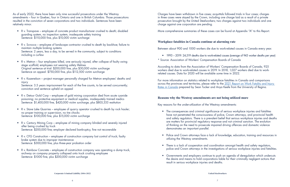**Corporate Criminal Liability 2004-2022 United Steelworkers**

As of early 2022, there have been only nine successful prosecutions under the Westray amendments – four in Quebec, four in Ontario and one in British Columbia. Those prosecutions resulted in the conviction of seven corporations and two individuals. Sentences have been relatively minor.

- R v. Transpave employee of concrete product manufacturer crushed to death; disabled guarding system, no inspection system, inadequate safety training Sentence: \$110,000 fine, plus \$10,000 victim surcharge
- R v. Scrocca employee of landscape contractor crushed to death by backhoe; failure to maintain multiple braking systems Sentence: 2 years, less a day, to be served in the community, subject to conditions including a curfew
- R v. Metron four employees killed, one seriously injured, after collapse of faulty swing stage scaffold; employees not wearing safety lifelines Original sentence at trial: \$200,000 fine, plus \$30,000 victim surcharge Sentence on appeal: \$750,000 fine, plus \$112,500 victim surcharge
- R v. Kazenelson project manager personally charged for Metron employees' deaths and injury Sentence: 3.5 years imprisonment for each of the five counts, to be served concurrently; conviction and sentence upheld on appeal
- R v. Detour Gold Corp employee of gold mining corporation died from acute cyanide poisoning; no protective equipment or medical supplies, inadequately trained medics
- Sentence: \$1,400,000 fine, \$420,000 victim surcharge, plus \$805,333 restitution
- R v. Stave Lake Quarries employee of quarry operator crushed to death by rock hauler; no proper training or supervision, no tire chocks Sentence: \$100,000 fine, plus \$15,000 victim surcharge
- R v. Century Mining Corp employee of mining company blinded and severely injured after being crushed by truck Sentence: \$200,000 fine; employer declared bankruptcy, fine not recoverable
- R v. CFG Construction employee of construction company lost control of truck; faulty brake system due to improper maintenance Sentence: \$300,000 fine, plus three-year probation order
- R v. Rainbow Concrete employee of construction company was operating a dump truck, archway on company property collapsed onto truck crushing employee Sentence: \$1000 fine, plus \$200,000 victim surcharge

• There is a lack of cooperation and coordination amongst health and safety regulators, police and Crown attorneys in the investigations of serious workplace injuries and fatalities.

Charges have been withdrawn in five cases; acquittals followed trials in four cases; charges in three cases were stayed by the Crown, including one charge laid as a result of a private prosecution brought by the United Steelworkers; two charges against two individuals and one charge against one corporation are pending.

More comprehensive summaries of these cases can be found at Appendix "A" to this Report.

# **Workplace fatalities in Canada continue at alarming rate**

Between about 900 and 1000 workers die due to work-related causes in Canada every year.

• 1993 – 2019: 24,519 deaths due to work-related causes (average of 943 worker deaths per year)

- 
- \* Source: Association of Workers' Compensation Boards of Canada

According to data from the Association of Workers' Compensation Boards of Canada, 925 workers died due to work-related causes in 2019. In 2018, 1,027 workers died due to workrelated causes. Data for 2020 will be available some time in 2022.

For more information on statistics related to workplace fatalities in Canada and comparisons across the provinces and territories, please refer to the 2021 Report on Work Fatality and Injury Rates in Canada prepared by Sean Tucker and Anya Keefe from the University of Regina.

# **Reasons why the Westray amendments are not being utilized more**

Key reasons for the under-utilization of the Westray amendments:

• The consequences and criminal significance of serious workplace injuries and fatalities have not penetrated the consciousness of police, Crown attorneys, and provincial health and safety regulators. There is a prevalent belief that serious workplace injuries and deaths are matters for provincial regulatory response and not criminal sanction. The evolution of thinking on the need to prosecute impaired driving offences and domestic violence

• Police and Crown attorneys face a lack of knowledge, education, training and resources in

- demonstrates an important parallel.
- utilizing the Westray amendments.
- 
- result in serious workplace injuries and deaths.

• Governments and employers continue to push an agenda of deregulation which undercuts the desire and means to hold corporations liable for their criminally negligent actions that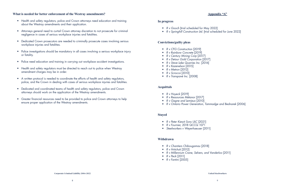#### **What is needed for better enforcement of the Westray amendments?**

- Health and safety regulators, police and Crown attorneys need education and training about the Westray amendments and their application.
- Attorneys general need to curtail Crown attorney discretion to not prosecute for criminal negligence in cases of serious workplace injuries and fatalities.
- Dedicated Crown prosecutors are needed to criminally prosecute cases involving serious workplace injuries and fatalities.
- Police investigations should be mandatory in all cases involving a serious workplace injury or fatality.
- Police need education and training in carrying out workplace accident investigations.
- Health and safety regulators must be directed to reach out to police when Westray amendment charges may be in order.
- A written protocol is needed to coordinate the efforts of health and safety regulators, police, and the Crown in dealing with cases of serious workplace injuries and fatalities.
- Dedicated and coordinated teams of health and safety regulators, police and Crown attorneys should work on the application of the Westray amendments.
- Greater financial resources need to be provided to police and Crown attorneys to help ensure proper application of the Westray amendments.

# **Appendix "A"**

# **In progress**

- *R v Gooch* [trial scheduled for May 2022]
- *R v Springhill Construction Ltd.* [trial scheduled for June 2022]

# **Convictions/guilty pleas**

- *R v CFG Construction* [2019]
- *R v Rainbow Concrete* [2019]
- *R v Century Mining Corp* [2017]
- *R v Detour Gold Corporation* [2017]
- *R v Stave Lake Quarries Inc.* [2016]
- *R v Kazenelson* [2015]
- *R v Metron* [2012]
- *R v Scrocca* [2010]
- *R v Transpavé Inc.* [2008]

#### **Acquittals**

- *R v Hoyeck* [2019]
- *R v Ressources Métanor* [2017]
- *R v Gagne and Lemieux* [2010]
- *R v Ontario Power Generation, Tammadge and Bednarek* [2006]

# **Stayed**

- *R v Peter Kiewit Sons ULC* [2021]
- *R v Fournier,* 2018 QCCQ 1071
- *Steelworkers v Weyerhaeuser* [2011]

# **Withdrawn**

- *R v Chantiers Chibougamau* [2018]
- *R v Hritchuk* [2012]
- *R v Millennium Crane, Selvers, and Vanderloo* [2011]
- *R v Peck* [2011]
- *R v Fantini* [2005]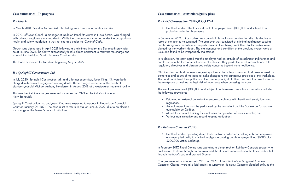#### **Case summaries – convictions/guilty pleas**

#### *R v CFG Construction,* **2019 QCCQ 1244**

• Death of worker after truck lost control, employer fined \$300,000 and subject to a

probation order for three years.

In September 2012, a truck driver lost control of his truck on a construction site. He died as a result of the injuries he sustained. The employer was convicted of criminal negligence causing death arising from the failure to properly maintain their heavy truck fleet. Faulty brakes were blamed for the worker's death. The maintenance and condition of the breaking system were at issue and found to be irresponsibly maintained.

In its decision, the court noted that the employer had an attitude of detachment, indifference and carelessness in the face of maintenance of its trucks. They paid little heed to compliance with regulatory directives and disregarded safety concerns beyond mere negligence.

- regulations;
- automobile du Québec;
- Mandatory annual training for employees on operation of heavy vehicles; and
- Various administrative and record keeping obligations.

• Death of worker operating dump truck, archway collapsed crushing cab and employee, employer pled guilty to criminal negligence causing death, employer fined \$1000 plus

GFC Construction had numerous regulatory offences for safety issues and had been warned by authorities and courts of the need to make changes to the dangerous practices at the workplace. The court considered the apathy from the company in light of other directions to correct issues in the workplace as well as the high risk of recurrence when assessing the case.

The employer was fined \$300,000 and subject to a three-year probation order which included the following provisions:

• Retaining an external consultant to ensure compliance with health and safety laws and

• Annual Inspections must be performed by the consultant and the Société de l'assurance

#### *R v Rainbow Concrete* **(2019)**

\$200,000 victim surcharge.

In February 2017, Rhéal Dionne was operating a dump truck on Rainbow Concrete property to haul snow. He drove through an archway and the structure collapsed onto the truck. Debris fell through the truck's cab and crushed Dionne.

Charges were laid under sections 22.1 and 217.1 of the *Criminal Code* against Rainbow Concrete. Charges were also laid against a supervisor. Rainbow Concrete pleaded guilty to the

# **Case summaries – In progress**

### *R v Gooch*

In March 2018, Brandon Alcorn died after falling from a roof at a construction site.

In 2019, Jeff Scott Gooch, a manager at Insulated Panel Structures in Nova Scotia, was charged with criminal negligence causing death. While the company was charged under the occupational health and safety legislation, it was not charged under the *Criminal Code*.

Gooch was discharged in April 2021 following a preliminary inquiry in a Dartmouth provincial court. In June 2021, the Crown subsequently filed a direct indictment to resurrect the charge and to send it to the Nova Scotia Supreme Court for trial.

The trial is scheduled for five days beginning May 9, 2022.

#### *R v Springhill Construction Ltd.*

In July 2020, Springhill Construction Ltd., and a former supervisor, Jason King, 43, were both charged with criminal negligence causing death. These charges arose out of the death of eighteen-year-old Michael Anthony Henderson in August 2018 at a wastewater treatment facility.

This was the first time charges were laid under section 217.1 of the *Criminal Code* in New Brunswick.

Springhill Construction Ltd. and Jason King were expected to appear in Fredericton Provincial Court on January 29, 2021. The case is set to return to trial on June 3, 2022, due to an election for a judge of the Queen's Bench to sit alone.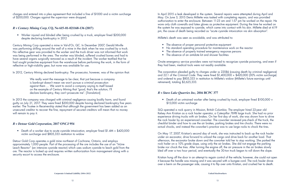• Death of an untrained worker after being crushed by truck, employer fined \$100,000 +

charges and entered into a plea agreement that included a fine of \$1000 and a victim surcharge of \$200,000. Charges against the supervisor were dropped.

# *R v Century Mining Corp,* **CQ, No 615-01-021168-136 (2017)**

• Worker injured and blinded after being crushed by a truck, employer fined \$200,000 despite declaring bankruptcy in 2012

Century Mining Corp operated a mine in Val-d'Or, QC. In December 2007, Gerald Miville was performing drilling around the wall of a mine in the dark when he was crushed by a truck. No reflective gear was provided to the worker and the truck driver was not informed that work was being performed in the area. The worker was blinded, suffered crushed bones and had to have several organs surgically removed as a result of the incident. The worker testified that he had sought protective equipment from the warehouse before performing the work, in the form of reflective or high-visibility gear, but none was available for use.

In 2012, Century Mining declared bankruptcy. The prosecutor, however, was of the opinion that:

We really want the message to be clear, that just because a company is bankrupt doesn't mean we won't pursue a criminal prosecution against them … We want to avoid a company saying to itself based on the example of Century Mining that "good, that's the solution, I'll declare bankruptcy, they can't prosecute me". [*Translation*]

- The absence of proper personal protective equipment
- No standard operating procedure for maintenance work on the reactor
- The absence of properly trained emergency response persons
- The absence of an antidote kit and shower facilities

In 2013 the company was charged with criminal negligence causing bodily harm, and found guilty on July 21, 2017. They were fined \$200,000 despite having declared bankruptcy five years earlier. The Trustee in Receivership stated that although the government has been added as an unsecured creditor to recover the fine, repayment of secured creditors will mean that no money will remain to pay it.

# *R v Detour Gold Corporation,* **2017 ONCJ 954**

• Death of a worker due to acute cyanide intoxication, employer fined \$1.4M + \$420,000 victim surcharge and \$805,333 restitution to widow

Detour Gold Corp operates a gold mine northeast of Cochrane, Ontario, and employs approximately 1,000 people. Part of the processing of the ore includes the use of an "InLine Leach Reactor" (an intensive cyanide reactor) which uses sodium cyanide to leach gold from the ore. The reactor is locked up and requires written authorization from management along with a security escort to access the enclosure.

In April 2015 a leak developed in the system. Several repairs were attempted during April and May. On June 3, 2015 Denis Millette was tasked with completing repairs, and was provided authorization to enter the enclosure. Between 11:23 am and 1:57 pm he worked on the repair. He wore only cloth coveralls and latex gloves as protective equipment. During the time he worked on the system he was exposed to cyanide, which came into contact with his skin. Millette died at 4:19 pm, the cause of death being recorded as "acute cyanide intoxication via skin absorption".

Millette's death was seen as avoidable, and was attributed to:

Onsite emergency service providers were not trained to recognize cyanide poisoning, and even if they had been, medical tools were not readily available.

The corporation pleaded guilty to charges under ss 220(b) (causing death by criminal negligence) and 22.1 of the *Criminal Code*. They were fined \$1,400,000 + \$420,000 (30% victim surcharge) and ordered to pay \$805,333 in restitution to Millette's widow (Millette's future earnings until retirement), totaling \$2,625,333.

# *R v Stave Lake Quarries Inc,* **2016 BCPC 377**

\$15,000 victim surcharge

SLQ operated a rock quarry in Mission, British Columbia. The employer hired 22-year old Kelsey Ann Kristian as a rock hauler operator, a Caterpillar 769B large truck. She had no prior experience driving trucks with air brakes. On her first day of work, she was shown how to drive the rock hauler by an experienced coworker. The coworker reviewed pre-check of the truck, the checklist binder and how to use the air brakes, parking brakes and tire chocks. There were no actual chocks, and instead the coworker's practice was to use large rocks to chock the tires.

On May 17, 2007, Kristian's second day of work, she was instructed to back up the rock hauler under an excavator, drive forward to unload the cargo and drive back for another load. That afternoon, the excavator broke down and the coworker told her to stop working. She parked the rock hailer on a 10% grade slope, using only the air brakes. She did not engage the parking brake nor chock the tires. After turning the engine off, the air pressure in the air brakes slowly bled off over a two hour period, and eventually the 30-ton truck began to roll down the slope.

Kristian hung off the door in an attempt to regain control of the vehicle; however, she could not open it because the handle was missing and it was secured with a bungee cord. The rock hauler drove over a berm on the passenger side, causing it to flip over onto Kristian, and crushed her to death.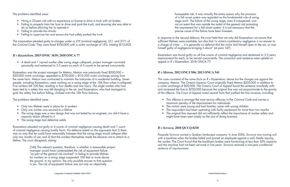**Corporate Criminal Liability 2004-2022 United Steelworkers**

• The original fine imposed did not sufficiently reflect the importance of worker safety and

- Hiring a 22-year old with no experience or license to drive a truck with air brakes
- Failing to properly train her how to drive and park the truck, and ensuring she was able to do so before allowing her to operate it
- Failing to provide tire chocks
- Failing to supervise her and ensure she had safely parked the truck

The problems identified were:

The corporation pleaded guilty to charges under ss 219 (criminal negligence), 22.1 and 217.1 of the *Criminal Code*. They were fined \$100,000 with a victim surcharge of 15%, totaling \$115,000.

# *R v Kazenelson,* **2015 ONSC 3639; 2018 ONCA 77**

• 4 dead and 1 injured worker after swing stage collapsed, project manager convicted personally and sentenced to 3.5 years on each of 5 counts to be served concurrently

Kazenelson was the project manager for Metron. Metron was previously fined \$200,000 + \$30,000 victim surcharge, appealed to \$750,000 + \$112,500 victim surcharge arising from the same facts. Metron was contracted to maintain the balconies of a residential building. Seven people, including Kazenelson, were working on a swing stage at the 13th floor when it collapsed. Five workers fell 100 feet, resulting in four deaths and one injury. The single worker who had been tied to a safety line was left dangling in the air, and Kazenelson, who had managed to grab the safety line before falling, climbed onto the 12th floor balcony.

> [146] The relevant question, therefore, is whether a reasonable project manager would have contemplated the risk of equipment failure "as part of the general risk involved" in failing to provide lifelines for workers on a swing stage suspended 100 feet or more above the ground. In my opinion, the only possible answer to that question is yes. The risk of equipment failure was not only an objectively

The problems identified were:

- Only two lifelines were in place for 6 workers
- Only one worker was secured to a lifeline
- The swing stage was a new design that was not tested by an engineer, nor did it have a capacity sticker affixed to it
- The swing stage had defective welds

Kazenelson pleaded not guilty to 4 counts of criminal negligence causing death and 1 count of criminal negligence causing bodily harm. His defence rested on the arguments that 1) there was no way that he could have reasonably foreseen that the swing stage would collapse after only two months of use, and 2) that the workers themselves made the decision not to attach to a lifeline. The court disagreed, stating:

foreseeable risk, it was virtually the entire reason why the provision of a fall arrest system was regarded as the fundamental rule of swing stage work. The failure of the swing stage, even if unexpected, was not an event that was outside the ambit of the general risk animating the requirement for a fall arrest system. It is not necessary that the precise cause of the failure have been foreseen.

In response to the second defence, the court held that not only did Kazenelson not ensure that sufficient lifelines were available, but also that "a victim's contributory negligence is no answer to a charge of crime … it is generally no defence that the victim laid himself open to the act, or was himself guilty of negligence bringing it about" (at para 147).

Kazenelson was found guilty on all five counts of criminal negligence and sentenced to 3.5 years imprisonment for each, to be served concurrently. The conviction and sentence were upheld on appeal in *R v Kazenelson*, 2018 ONCA 77.

# *R v Metron,* **2012 ONCJ 506; 2013 ONCA 541**

This case consisted of the same facts as *R v Kazenelson*, above but the charges are against the company, Metron. The Ontario Superior Court originally fined Metron \$200,000 in addition to a victim surcharge of \$30,000. The Ontario Court of Appeal found the sentence manifestly unfit and increased the fine to \$750,000 because the original fine was not proportionate to the gravity of the offence. The Court of Appeal noted several facts that justified the fine increase, including:

- This offence is amongst the most serious offences in the *Criminal Code* and carries a maximum penalty of life imprisonment for individuals
- The victims were young and had families, some with young children
- The respondent had been operating with faulty equipment for more than two months
- might have been seen simply as the cost of doing business

# *R v Scrocca,* **2010 QCCQ 8218**

Pasquale Scrocca owned a Quebec landscape company. In June 2006, Scrocca was moving soil with a backhoe when the brakes failed and pinned an employee against a wall, fatally injuring the worker. The Court found that the backhoe's brakes were functioning at less than 30% capacity and the machine had not been serviced in five years. Scrocca received a two-year conditional sentence of imprisonment.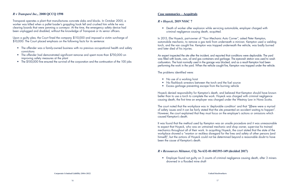# **Case summaries – Acquittals**

#### *R v Hoyeck,* **2019 NSSC 7**

• Death of worker after explosion while servicing automobile, employer charged with

criminal negligence causing death, acquitted.

In 2013, Elie Hoyeck, part-owner of "Your Mechanic Auto Corner", asked Peter Kempton, automobile mechanic, to remove a gas tank from underneath a minivan. Kempton used a welding torch, and the van caught fire. Kempton was trapped underneath the vehicle, was badly burned and later died of his injuries.

- No use of a working hoist
- No flashback arrestors between the torch and the fuel source
- Excess garbage preventing escape from the burning vehicle

An expert inspected the site after the incident, and reported that conditions were deplorable. The yard was filled with boats, cars, oil and gas containers and garbage. The eyewash station was used to wash carburetors. The hoist normally used in the garage was blocked, and as a result Kempton had been performing the work in the yard. When the vehicle caught fire, Kempton was trapped under the vehicle.

The problems identified were:

Transpavé operates a plant that manufactures concrete slabs and blocks. In October 2005, a worker was killed when a pallet loader's grappling hook fell and crushed him while he was clearing boards that were jamming a conveyor. At the time, the emergency safety device had been unplugged and disabled, without the knowledge of Transpavé or its senior officers.

> Hoyeck denied responsibility for Kempton's death, and believed that Kempton should have known better than to use a torch to complete the work. Hoyeck was charged with criminal negligence causing death, the first time an employer was charged under the Westray Law in Nova Scotia.

Upon a guilty plea, the Court fined the company \$110,000 and imposed a victim surcharge of \$10,000. The Court placed emphasis on the following facts for its sentence:

- The offender was a family-owned business with no previous occupational health and safety convictions
- The offender had demonstrated significant remorse and spent more than \$750,000 on improving safety measures at the plant
- The \$100,000 fine ensured the survival of the corporation and the continuation of the 100 jobs

The court noted that the workplace was in 'deplorable condition' and that "[t]here were a myriad of safety issues and it can be fairly stated that the site presented an accident waiting to happen". However, the court explained that they must focus on the employer's actions or omissions which caused Kempton's death.

It was found that the method used by Kempton was an unsafe procedure and it was unreasonable to expect that Hoyeck, who was an untrained mechanic and shop owner, supervise his trained mechanics throughout all of their work. In acquitting Hoyeck, the court stated that the state of the workplace showed a "wanton or reckless disregard for the lives and safety of other persons (and himself)", but the actions of Hoyeck could not be determined beyond a reasonable doubt to have been the cause of Kempton's death.

# *R v Ressources Métanor,* **CQ, No 632-01-003393-149 (decided 2017)**

• Employer found not guilty on 3 counts of criminal negligence causing death, after 3 miners

drowned in a flooded mine shaft

# *R v Transpavé Inc.,* **2008 QCCQ 1598**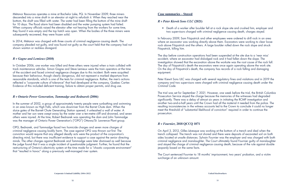#### **Case summaries – Stayed**

# *R v Peter Kiewit Sons ULC* **(2021)**

• Death of a worker after boulder fell at a rock slope site and crushed him, employer and two supervisors charged with criminal negligence causing death, charges stayed.

In February 2009, Sam Fitzpatrick and other employees were ordered to drill rock in an area where an excavator was working directly above them. Excavators were working to clear loose rock above Fitzpatrick and the others. A large boulder rolled down the rock slope and struck Fitzpatrick, killing him.

The day before construction operations had been suspended at the site due to a 'near miss' accident, where an excavator had dislodged rock and it had fallen down the slope. The investigation showed that the excavation above the worksite was the root cause of the rock fall. The day of Fitzpatrick's death the excavators were once again operating above the work site. On the day of Fitzpatrick's death, the company has records of a rock falling and damaging equipment.

Peter Kiewit Sons ULC was charged with several regulatory fines and violations and in 2019 the company and two supervisors were charged with criminal negligence causing death under the *Criminal Code*.

In 2014, Métanor was charged with three counts of criminal negligence causing death. The company pleaded not guilty, and was found not guilty as the court held that the company had not shown wanton or reckless disregard.

> The trial was set for September 7, 2021. However, one week before the trial, the British Columbia Prosecution Service stayed the charge because the memories of the witnesses had degraded significantly. There was a delay of almost six years in initiating the RCMP investigation and another two-and-a-half years until the Crown had all the material it needed from the police. The resulting inconsistencies in the witness accounts led to the Crown to conclude it could no longer meet the threshold of "substantial likelihood of conviction" required in order to continue the prosecution.

# *R v Fournier,* **2018 QCCQ 1071**

In the summer of 2002, a group of approximately twenty people were sunbathing and swimming in an area known as High Falls, which was downriver from the Barret Chute dam. When the sluice gates of the Barrett Chute Generating Station opened, it unleashed a wall of water. A mother and her son were swept away by the water over a ten-metre cliff and drowned, and seven others were injured. At the time, Robert Bednarek was operating the dam and John Tammadge was the manager of Ontario Power Generation's ("OPG") Ottawa/St. Lawrence Plant group.

> On April 3, 2012, Gilles Lévesque was working at the bottom of a trench and died when the trench collapsed. The trench was not shored and there were deposits of excavated soil on both sides located at unsafe distances. Sylvain Fournier was the employer and was charged with both criminal negligence and manslaughter. The Court ultimately found Fournier guilty of manslaughter and stayed the charge of criminal negligence causing death, because of the rule against double jeopardy based on the same facts.

The Court sentenced Fournier to 18 months' imprisonment, two years' probation, and a victim surcharge of an unknown amount.

Métanor Resources operates a mine at Bachelor Lake, PQ. In November 2009, three miners descended into a mine shaft in an elevator at night to refurbish it. When they reached near the bottom, the shaft was filled with water. The water had been filling the bottom of the mine shaft for 10 days. The flood alarm had been disabled and the water pumping system had failed. When company officials raised the elevator after not hearing from the workers for some time, they found it was empty and the top hatch was open. When the bodies of the three miners were subsequently recovered, they were frozen solid.

# *R v Gagne and Lemieux* **(2010)**

In October 2006, one worker was killed and three others were injured when a train collided with track maintenance vehicles. Simon Gagne and Steve Lemieux were the train operators at the time of the accident and faced criminal negligence charges due to this incident. Both were acquitted because their behaviour, though clearly dangerous, did not represent a marked departure from reasonable standards, which is one of the tests for criminal negligence. Rather, the men's actions reflected a "corporate culture of tolerance" that had developed at the company, Quebec Cartier. Evidence of this included deficient training, failure to obtain proper permits, and drug use.

#### *R v Ontario Power Generation, Tammadge and Bednarek* **(2006)**

OPG, Bednarek, and Tammadge faced two homicide charges and seven more charges of criminal negligence causing bodily harm. The case against OPG was thrown out first. The conviction would require that any alleged deadly acts were the product of the corporation's directing mind, but there was insufficient evidence to support a case against the senior directing minds. The other charges against Bednarek and Tammadge were later dismissed as well because the judge found that it was a single incident of questionable judgment. Further, he found that the restructuring of Ontario's electricity system at the time made for a "chaotic corporate environment" that "resulted in havoc" along a previously well-managed river system.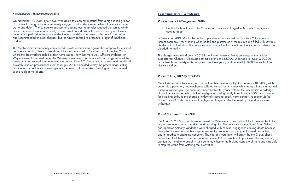# • Death of subcontractor after 9 metre fall, company charged with criminal negligence

#### **Case summaries – Withdrawn**

#### *R v Chantiers Chibougamau* **(2018)**

In November 2013, Martial Larouche, a plumber subcontracted by Chantiers Chibougamau, a lumber company, was working when he fell and plummeted 9 metres in a silo filled with sawdust. He died of asphyxiation. The company was charged with criminal negligence causing death, and pleaded not quilty.

causing death

The charges were withdrawn in 2018 for unknown reasons. News coverage of the incident suggests that Chantiers Chibougamau paid a fine of \$65,000, undertook to invest \$200,000 in the health and safety of its company over three years, and donated \$50,000 to each of the victim's children.

#### *R v Hritchuk,* **2012 QCCS 4525**

Mark Hritchuk was the manager at an automobile service facility. On February 10, 2005, while under his supervision, two mechanics suffered serious burn injuries while using a hand-crafted fuel pump to transfer gas. The pump had been broken for years, without the mechanics' knowledge. Hritchuk was charged with criminal negligence causing bodily harm in May 2007. In exchange for pleading guilty to the charge of unlawfully causing bodily harm contrary to section 269(a) of the *Criminal Code*, the criminal negligence charges under the Westray amendments were withdrawn.

#### *R v Millennium Crane* **(2011)**

On April 16, 2009, a mobile crane owned by Millennium Crane Rentals killed a worker by falling into a hole where he was working and crushing him. The company, owner David Brian Selvers, and operator Anthony Vanderloo were charged with criminal negligence causing death because they failed to take reasonable steps to ensure the crane was properly maintained, inspected, and in good safe operating condition. The charges were later withdrawn by the Crown after it determined that there was no reasonable prospect of a conviction. In particular, the engineering opinion was unable to establish with certainty whether the braking capacity of the crane was able to stop the crane from entering the excavation.

#### *Steelworkers v Weyerhaeuser* **(2011)**

On November 17, 2004, Lyle Hewer was asked to clean out material from a high-speed grinder at a sawmill. The grinder was frequently clogged, and workers were ordered to clear it of wood waste and debris. The company's process of clearing out the grinder required workers to climb inside a confined space to manually remove waste-wood products and clear out jams. Hewer became trapped inside the space under the load of debris and was asphyxiated. The police had recommended criminal charges, but the Crown refused to prosecute in light of insufficient evidence.

The Steelworkers subsequently commenced private prosecutions against the company for criminal negligence causing death. Three days of hearings occurred in October and November 2010, where the Steelworkers called sixteen witnesses to show that there was sufficient evidence for Weyerhaeuser to be tried under the Westray amendments. A provincial court judge allowed the prosecution to proceed. Unfortunately, the policy of the B.C. Crown is to take over and handle all privately-initiated prosecutions itself. In August 2011, it decided to stay the proceedings, stating that the was no evidence of management awareness of the workers climbing into the confined space to clear the debris.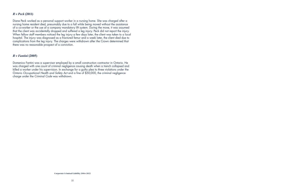**Corporate Criminal Liability 2004-2022**

#### *R v Peck* **(2011)**

Diane Peck worked as a personal support worker in a nursing home. She was charged after a nursing home resident died, presumably due to a fall while being moved without the assistance of a co-worker or the use of a company mandatory lift system. During the move, it was assumed that the client was accidentally dropped and suffered a leg injury. Peck did not report the injury. When fellow staff members noticed the leg injury a few days later, the client was taken to a local hospital. The injury was diagnosed as a fractured femur and a week later, the client died due to complications from the leg injury. The charges were withdrawn after the Crown determined that there was no reasonable prospect of a conviction.

#### *R v Fantini* **(2005)**

Domenico Fantini was a supervisor employed by a small construction contractor in Ontario. He was charged with one count of criminal negligence causing death when a trench collapsed and killed a worker under his supervision. In exchange for a guilty plea to three violations under the Ontario *Occupational Health and Safety Act* and a fine of \$50,000, the criminal negligence charge under the *Criminal Code* was withdrawn.